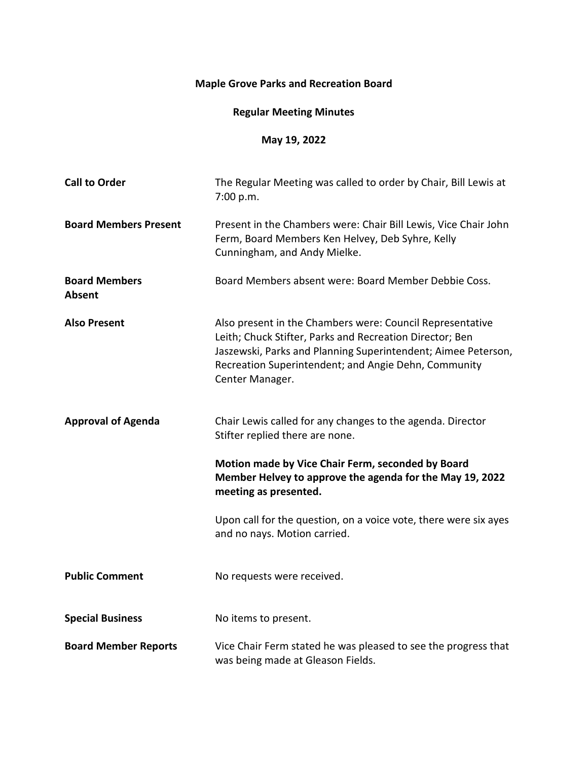## **Maple Grove Parks and Recreation Board**

## **Regular Meeting Minutes**

## **May 19, 2022**

| <b>Call to Order</b>                  | The Regular Meeting was called to order by Chair, Bill Lewis at<br>7:00 p.m.                                                                                                                                                                                      |
|---------------------------------------|-------------------------------------------------------------------------------------------------------------------------------------------------------------------------------------------------------------------------------------------------------------------|
| <b>Board Members Present</b>          | Present in the Chambers were: Chair Bill Lewis, Vice Chair John<br>Ferm, Board Members Ken Helvey, Deb Syhre, Kelly<br>Cunningham, and Andy Mielke.                                                                                                               |
| <b>Board Members</b><br><b>Absent</b> | Board Members absent were: Board Member Debbie Coss.                                                                                                                                                                                                              |
| <b>Also Present</b>                   | Also present in the Chambers were: Council Representative<br>Leith; Chuck Stifter, Parks and Recreation Director; Ben<br>Jaszewski, Parks and Planning Superintendent; Aimee Peterson,<br>Recreation Superintendent; and Angie Dehn, Community<br>Center Manager. |
| <b>Approval of Agenda</b>             | Chair Lewis called for any changes to the agenda. Director<br>Stifter replied there are none.                                                                                                                                                                     |
|                                       | Motion made by Vice Chair Ferm, seconded by Board<br>Member Helvey to approve the agenda for the May 19, 2022<br>meeting as presented.                                                                                                                            |
|                                       | Upon call for the question, on a voice vote, there were six ayes<br>and no nays. Motion carried.                                                                                                                                                                  |
| <b>Public Comment</b>                 | No requests were received.                                                                                                                                                                                                                                        |
| <b>Special Business</b>               | No items to present.                                                                                                                                                                                                                                              |
| <b>Board Member Reports</b>           | Vice Chair Ferm stated he was pleased to see the progress that<br>was being made at Gleason Fields.                                                                                                                                                               |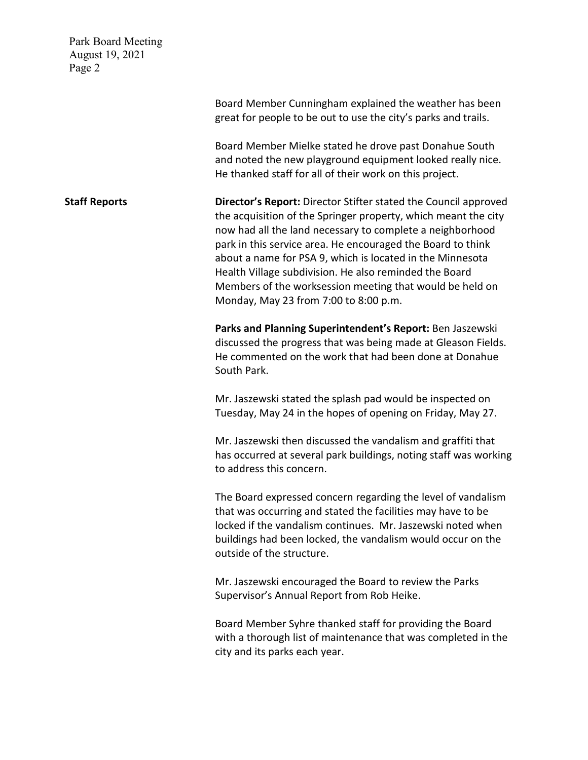Park Board Meeting August 19, 2021 Page 2 Board Member Cunningham explained the weather has been great for people to be out to use the city's parks and trails. Board Member Mielke stated he drove past Donahue South and noted the new playground equipment looked really nice. He thanked staff for all of their work on this project. **Staff Reports Director's Report:** Director Stifter stated the Council approved the acquisition of the Springer property, which meant the city now had all the land necessary to complete a neighborhood park in this service area. He encouraged the Board to think about a name for PSA 9, which is located in the Minnesota Health Village subdivision. He also reminded the Board Members of the worksession meeting that would be held on Monday, May 23 from 7:00 to 8:00 p.m. **Parks and Planning Superintendent's Report:** Ben Jaszewski discussed the progress that was being made at Gleason Fields. He commented on the work that had been done at Donahue South Park. Mr. Jaszewski stated the splash pad would be inspected on Tuesday, May 24 in the hopes of opening on Friday, May 27. Mr. Jaszewski then discussed the vandalism and graffiti that has occurred at several park buildings, noting staff was working to address this concern. The Board expressed concern regarding the level of vandalism that was occurring and stated the facilities may have to be locked if the vandalism continues. Mr. Jaszewski noted when buildings had been locked, the vandalism would occur on the outside of the structure. Mr. Jaszewski encouraged the Board to review the Parks Supervisor's Annual Report from Rob Heike. Board Member Syhre thanked staff for providing the Board with a thorough list of maintenance that was completed in the city and its parks each year.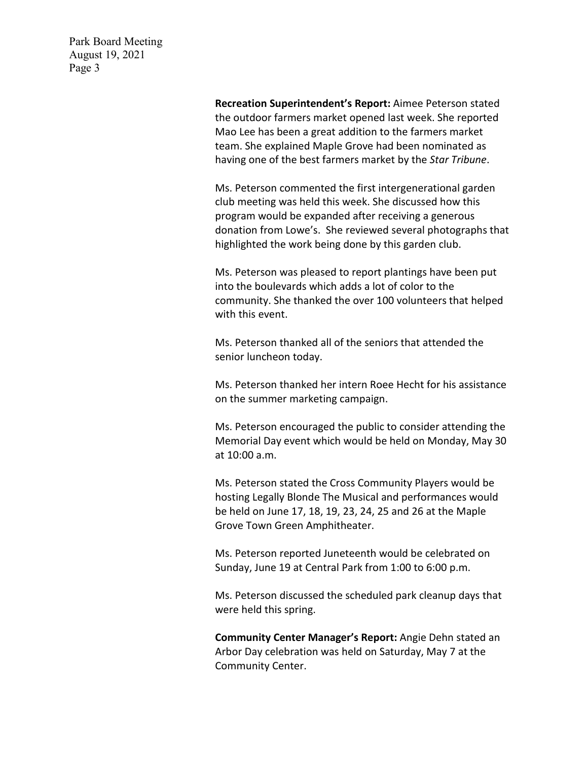> **Recreation Superintendent's Report:** Aimee Peterson stated the outdoor farmers market opened last week. She reported Mao Lee has been a great addition to the farmers market team. She explained Maple Grove had been nominated as having one of the best farmers market by the *Star Tribune*.

Ms. Peterson commented the first intergenerational garden club meeting was held this week. She discussed how this program would be expanded after receiving a generous donation from Lowe's. She reviewed several photographs that highlighted the work being done by this garden club.

Ms. Peterson was pleased to report plantings have been put into the boulevards which adds a lot of color to the community. She thanked the over 100 volunteers that helped with this event.

Ms. Peterson thanked all of the seniors that attended the senior luncheon today.

Ms. Peterson thanked her intern Roee Hecht for his assistance on the summer marketing campaign.

Ms. Peterson encouraged the public to consider attending the Memorial Day event which would be held on Monday, May 30 at 10:00 a.m.

Ms. Peterson stated the Cross Community Players would be hosting Legally Blonde The Musical and performances would be held on June 17, 18, 19, 23, 24, 25 and 26 at the Maple Grove Town Green Amphitheater.

Ms. Peterson reported Juneteenth would be celebrated on Sunday, June 19 at Central Park from 1:00 to 6:00 p.m.

Ms. Peterson discussed the scheduled park cleanup days that were held this spring.

**Community Center Manager's Report:** Angie Dehn stated an Arbor Day celebration was held on Saturday, May 7 at the Community Center.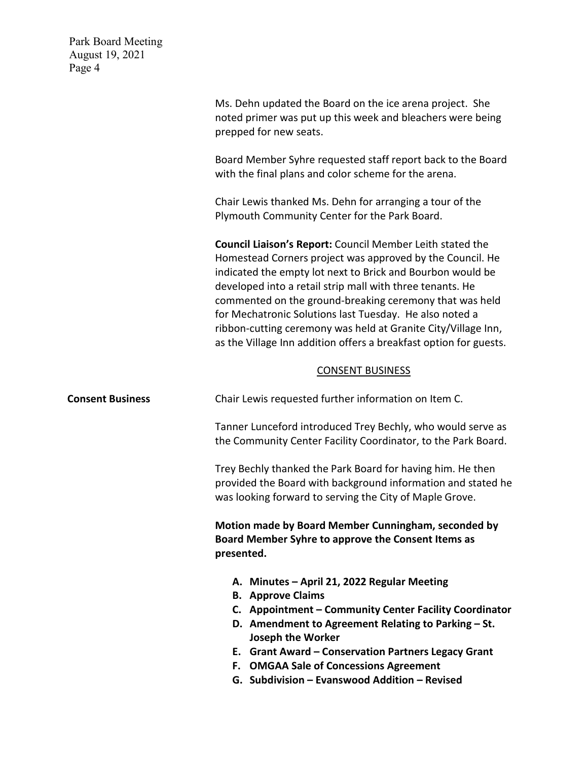| Park Board Meeting<br>August 19, 2021<br>Page 4 |                                                                                                                                                                                                                                                                                                                                                                                                                                                                                                               |
|-------------------------------------------------|---------------------------------------------------------------------------------------------------------------------------------------------------------------------------------------------------------------------------------------------------------------------------------------------------------------------------------------------------------------------------------------------------------------------------------------------------------------------------------------------------------------|
|                                                 | Ms. Dehn updated the Board on the ice arena project. She<br>noted primer was put up this week and bleachers were being<br>prepped for new seats.                                                                                                                                                                                                                                                                                                                                                              |
|                                                 | Board Member Syhre requested staff report back to the Board<br>with the final plans and color scheme for the arena.                                                                                                                                                                                                                                                                                                                                                                                           |
|                                                 | Chair Lewis thanked Ms. Dehn for arranging a tour of the<br>Plymouth Community Center for the Park Board.                                                                                                                                                                                                                                                                                                                                                                                                     |
|                                                 | Council Liaison's Report: Council Member Leith stated the<br>Homestead Corners project was approved by the Council. He<br>indicated the empty lot next to Brick and Bourbon would be<br>developed into a retail strip mall with three tenants. He<br>commented on the ground-breaking ceremony that was held<br>for Mechatronic Solutions last Tuesday. He also noted a<br>ribbon-cutting ceremony was held at Granite City/Village Inn,<br>as the Village Inn addition offers a breakfast option for guests. |
|                                                 | <b>CONSENT BUSINESS</b>                                                                                                                                                                                                                                                                                                                                                                                                                                                                                       |
| <b>Consent Business</b>                         | Chair Lewis requested further information on Item C.                                                                                                                                                                                                                                                                                                                                                                                                                                                          |
|                                                 | Tanner Lunceford introduced Trey Bechly, who would serve as<br>the Community Center Facility Coordinator, to the Park Board.                                                                                                                                                                                                                                                                                                                                                                                  |
|                                                 | Trey Bechly thanked the Park Board for having him. He then<br>provided the Board with background information and stated he<br>was looking forward to serving the City of Maple Grove.                                                                                                                                                                                                                                                                                                                         |
|                                                 | Motion made by Board Member Cunningham, seconded by<br>Board Member Syhre to approve the Consent Items as<br>presented.                                                                                                                                                                                                                                                                                                                                                                                       |
|                                                 | A. Minutes - April 21, 2022 Regular Meeting<br><b>B.</b> Approve Claims<br>C. Appointment - Community Center Facility Coordinator<br>D. Amendment to Agreement Relating to Parking - St.<br><b>Joseph the Worker</b><br>E. Grant Award - Conservation Partners Legacy Grant<br><b>OMGAA Sale of Concessions Agreement</b><br>F.<br>G. Subdivision - Evanswood Addition - Revised                                                                                                                              |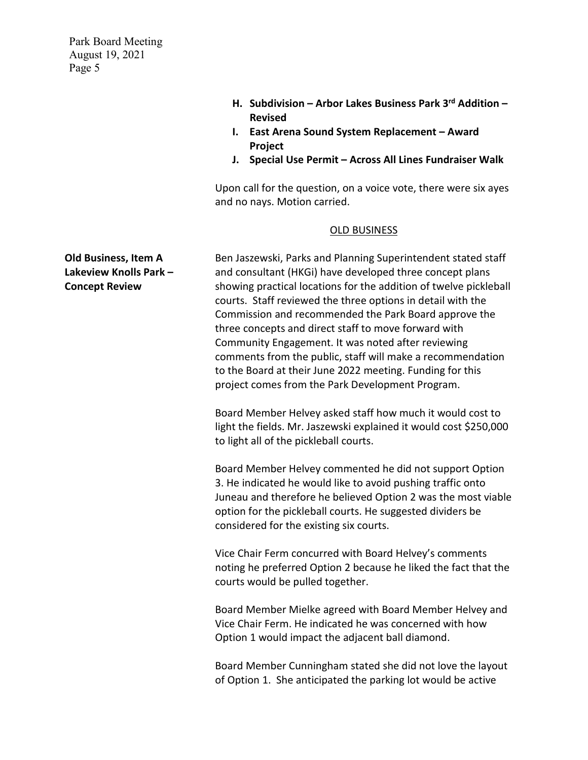- **H. Subdivision – Arbor Lakes Business Park 3rd Addition – Revised**
- **I. East Arena Sound System Replacement Award Project**
- **J. Special Use Permit Across All Lines Fundraiser Walk**

Upon call for the question, on a voice vote, there were six ayes and no nays. Motion carried.

## OLD BUSINESS

Ben Jaszewski, Parks and Planning Superintendent stated staff and consultant (HKGi) have developed three concept plans showing practical locations for the addition of twelve pickleball courts. Staff reviewed the three options in detail with the Commission and recommended the Park Board approve the three concepts and direct staff to move forward with Community Engagement. It was noted after reviewing comments from the public, staff will make a recommendation to the Board at their June 2022 meeting. Funding for this project comes from the Park Development Program.

Board Member Helvey asked staff how much it would cost to light the fields. Mr. Jaszewski explained it would cost \$250,000 to light all of the pickleball courts.

Board Member Helvey commented he did not support Option 3. He indicated he would like to avoid pushing traffic onto Juneau and therefore he believed Option 2 was the most viable option for the pickleball courts. He suggested dividers be considered for the existing six courts.

Vice Chair Ferm concurred with Board Helvey's comments noting he preferred Option 2 because he liked the fact that the courts would be pulled together.

Board Member Mielke agreed with Board Member Helvey and Vice Chair Ferm. He indicated he was concerned with how Option 1 would impact the adjacent ball diamond.

Board Member Cunningham stated she did not love the layout of Option 1. She anticipated the parking lot would be active

**Old Business, Item A Lakeview Knolls Park – Concept Review**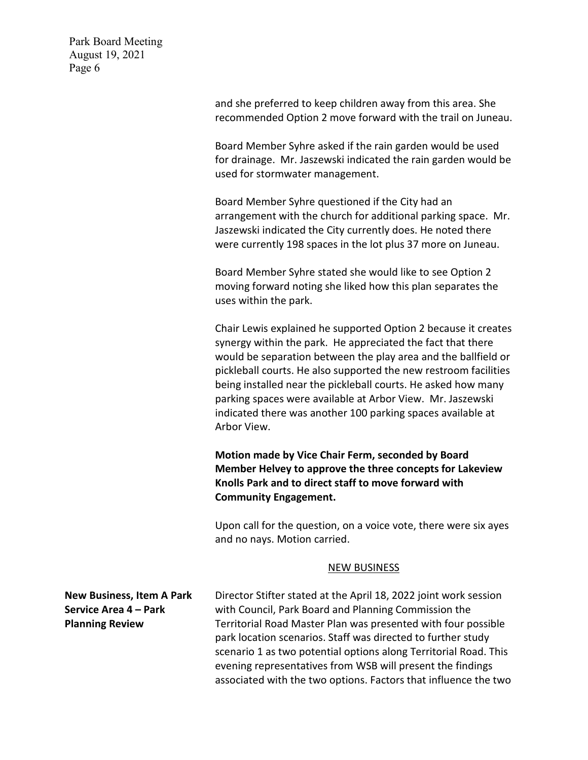and she preferred to keep children away from this area. She recommended Option 2 move forward with the trail on Juneau. Board Member Syhre asked if the rain garden would be used for drainage. Mr. Jaszewski indicated the rain garden would be used for stormwater management. Board Member Syhre questioned if the City had an arrangement with the church for additional parking space. Mr. Jaszewski indicated the City currently does. He noted there were currently 198 spaces in the lot plus 37 more on Juneau. Board Member Syhre stated she would like to see Option 2 moving forward noting she liked how this plan separates the uses within the park. Chair Lewis explained he supported Option 2 because it creates synergy within the park. He appreciated the fact that there would be separation between the play area and the ballfield or pickleball courts. He also supported the new restroom facilities being installed near the pickleball courts. He asked how many parking spaces were available at Arbor View. Mr. Jaszewski indicated there was another 100 parking spaces available at Arbor View. **Motion made by Vice Chair Ferm, seconded by Board Member Helvey to approve the three concepts for Lakeview Knolls Park and to direct staff to move forward with Community Engagement.**  Upon call for the question, on a voice vote, there were six ayes and no nays. Motion carried. NEW BUSINESS **New Business, Item A Park Service Area 4 – Park Planning Review** Director Stifter stated at the April 18, 2022 joint work session with Council, Park Board and Planning Commission the Territorial Road Master Plan was presented with four possible park location scenarios. Staff was directed to further study scenario 1 as two potential options along Territorial Road. This evening representatives from WSB will present the findings associated with the two options. Factors that influence the two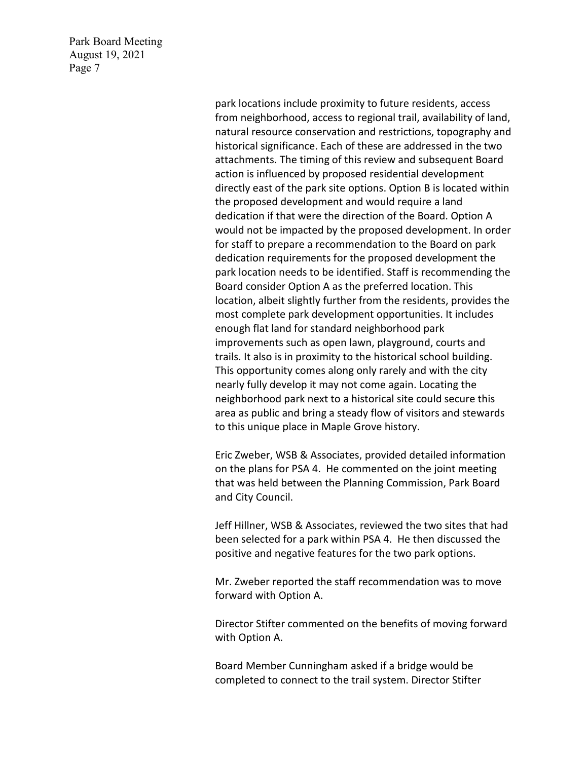> park locations include proximity to future residents, access from neighborhood, access to regional trail, availability of land, natural resource conservation and restrictions, topography and historical significance. Each of these are addressed in the two attachments. The timing of this review and subsequent Board action is influenced by proposed residential development directly east of the park site options. Option B is located within the proposed development and would require a land dedication if that were the direction of the Board. Option A would not be impacted by the proposed development. In order for staff to prepare a recommendation to the Board on park dedication requirements for the proposed development the park location needs to be identified. Staff is recommending the Board consider Option A as the preferred location. This location, albeit slightly further from the residents, provides the most complete park development opportunities. It includes enough flat land for standard neighborhood park improvements such as open lawn, playground, courts and trails. It also is in proximity to the historical school building. This opportunity comes along only rarely and with the city nearly fully develop it may not come again. Locating the neighborhood park next to a historical site could secure this area as public and bring a steady flow of visitors and stewards to this unique place in Maple Grove history.

Eric Zweber, WSB & Associates, provided detailed information on the plans for PSA 4. He commented on the joint meeting that was held between the Planning Commission, Park Board and City Council.

Jeff Hillner, WSB & Associates, reviewed the two sites that had been selected for a park within PSA 4. He then discussed the positive and negative features for the two park options.

Mr. Zweber reported the staff recommendation was to move forward with Option A.

Director Stifter commented on the benefits of moving forward with Option A.

Board Member Cunningham asked if a bridge would be completed to connect to the trail system. Director Stifter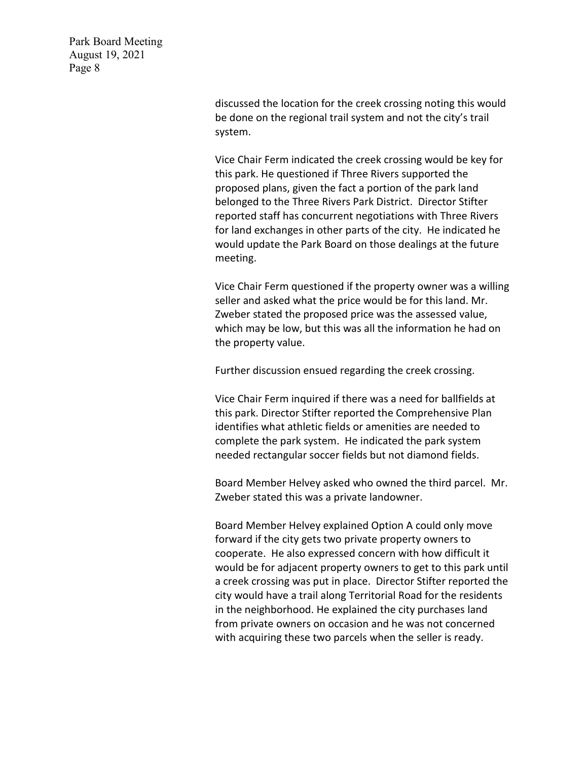> discussed the location for the creek crossing noting this would be done on the regional trail system and not the city's trail system.

Vice Chair Ferm indicated the creek crossing would be key for this park. He questioned if Three Rivers supported the proposed plans, given the fact a portion of the park land belonged to the Three Rivers Park District. Director Stifter reported staff has concurrent negotiations with Three Rivers for land exchanges in other parts of the city. He indicated he would update the Park Board on those dealings at the future meeting.

Vice Chair Ferm questioned if the property owner was a willing seller and asked what the price would be for this land. Mr. Zweber stated the proposed price was the assessed value, which may be low, but this was all the information he had on the property value.

Further discussion ensued regarding the creek crossing.

Vice Chair Ferm inquired if there was a need for ballfields at this park. Director Stifter reported the Comprehensive Plan identifies what athletic fields or amenities are needed to complete the park system. He indicated the park system needed rectangular soccer fields but not diamond fields.

Board Member Helvey asked who owned the third parcel. Mr. Zweber stated this was a private landowner.

Board Member Helvey explained Option A could only move forward if the city gets two private property owners to cooperate. He also expressed concern with how difficult it would be for adjacent property owners to get to this park until a creek crossing was put in place. Director Stifter reported the city would have a trail along Territorial Road for the residents in the neighborhood. He explained the city purchases land from private owners on occasion and he was not concerned with acquiring these two parcels when the seller is ready.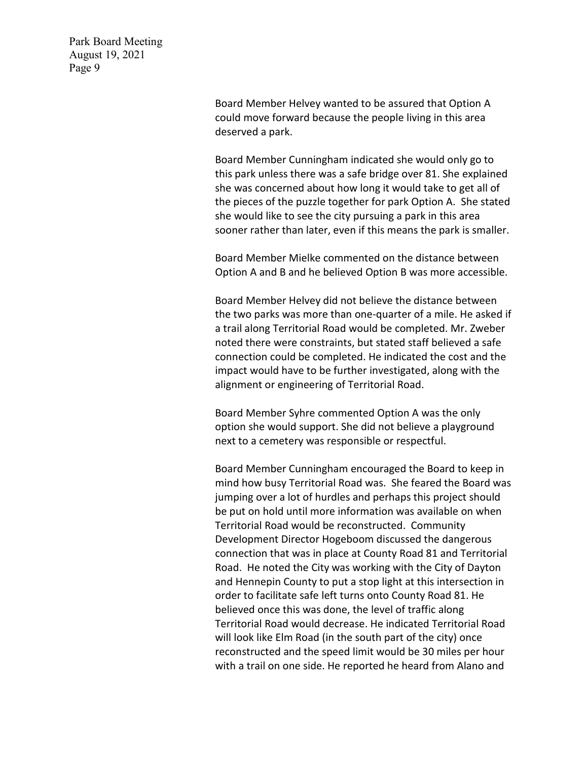> Board Member Helvey wanted to be assured that Option A could move forward because the people living in this area deserved a park.

Board Member Cunningham indicated she would only go to this park unless there was a safe bridge over 81. She explained she was concerned about how long it would take to get all of the pieces of the puzzle together for park Option A. She stated she would like to see the city pursuing a park in this area sooner rather than later, even if this means the park is smaller.

Board Member Mielke commented on the distance between Option A and B and he believed Option B was more accessible.

Board Member Helvey did not believe the distance between the two parks was more than one-quarter of a mile. He asked if a trail along Territorial Road would be completed. Mr. Zweber noted there were constraints, but stated staff believed a safe connection could be completed. He indicated the cost and the impact would have to be further investigated, along with the alignment or engineering of Territorial Road.

Board Member Syhre commented Option A was the only option she would support. She did not believe a playground next to a cemetery was responsible or respectful.

Board Member Cunningham encouraged the Board to keep in mind how busy Territorial Road was. She feared the Board was jumping over a lot of hurdles and perhaps this project should be put on hold until more information was available on when Territorial Road would be reconstructed. Community Development Director Hogeboom discussed the dangerous connection that was in place at County Road 81 and Territorial Road. He noted the City was working with the City of Dayton and Hennepin County to put a stop light at this intersection in order to facilitate safe left turns onto County Road 81. He believed once this was done, the level of traffic along Territorial Road would decrease. He indicated Territorial Road will look like Elm Road (in the south part of the city) once reconstructed and the speed limit would be 30 miles per hour with a trail on one side. He reported he heard from Alano and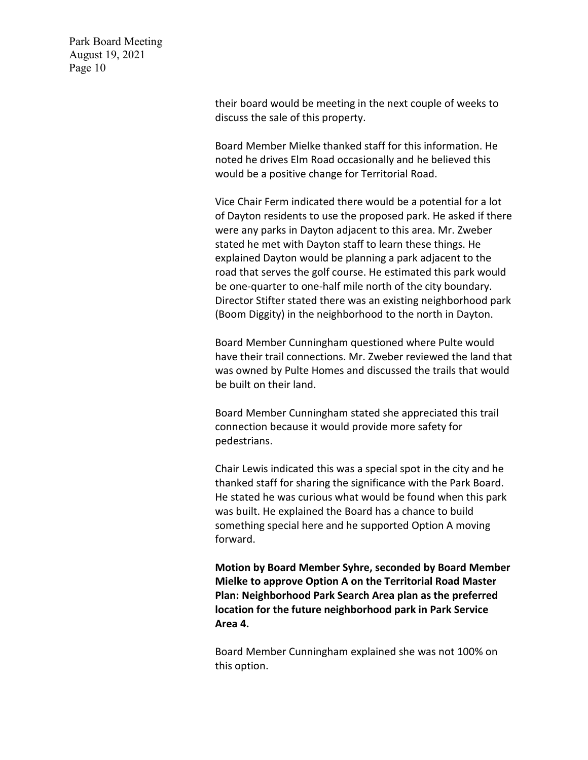> their board would be meeting in the next couple of weeks to discuss the sale of this property.

> Board Member Mielke thanked staff for this information. He noted he drives Elm Road occasionally and he believed this would be a positive change for Territorial Road.

Vice Chair Ferm indicated there would be a potential for a lot of Dayton residents to use the proposed park. He asked if there were any parks in Dayton adjacent to this area. Mr. Zweber stated he met with Dayton staff to learn these things. He explained Dayton would be planning a park adjacent to the road that serves the golf course. He estimated this park would be one-quarter to one-half mile north of the city boundary. Director Stifter stated there was an existing neighborhood park (Boom Diggity) in the neighborhood to the north in Dayton.

Board Member Cunningham questioned where Pulte would have their trail connections. Mr. Zweber reviewed the land that was owned by Pulte Homes and discussed the trails that would be built on their land.

Board Member Cunningham stated she appreciated this trail connection because it would provide more safety for pedestrians.

Chair Lewis indicated this was a special spot in the city and he thanked staff for sharing the significance with the Park Board. He stated he was curious what would be found when this park was built. He explained the Board has a chance to build something special here and he supported Option A moving forward.

**Motion by Board Member Syhre, seconded by Board Member Mielke to approve Option A on the Territorial Road Master Plan: Neighborhood Park Search Area plan as the preferred location for the future neighborhood park in Park Service Area 4.** 

Board Member Cunningham explained she was not 100% on this option.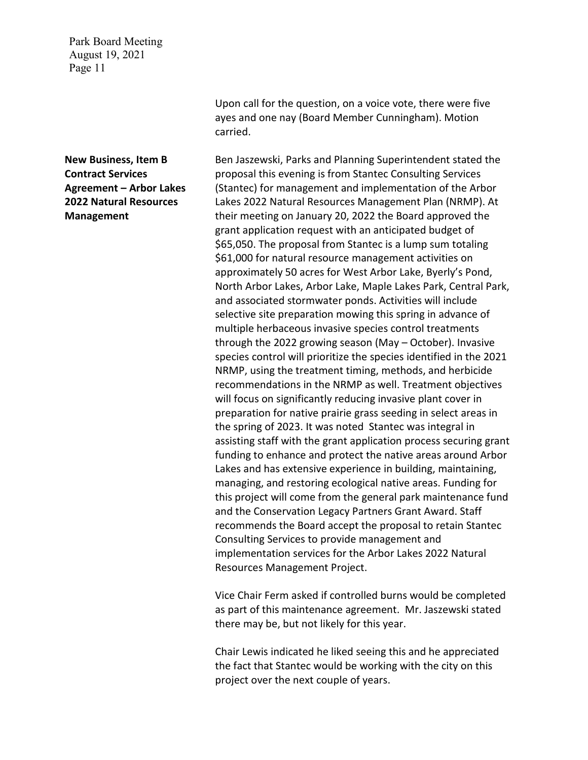**New Business, Item B Contract Services Agreement – Arbor Lakes 2022 Natural Resources Management**

Upon call for the question, on a voice vote, there were five ayes and one nay (Board Member Cunningham). Motion carried.

Ben Jaszewski, Parks and Planning Superintendent stated the proposal this evening is from Stantec Consulting Services (Stantec) for management and implementation of the Arbor Lakes 2022 Natural Resources Management Plan (NRMP). At their meeting on January 20, 2022 the Board approved the grant application request with an anticipated budget of \$65,050. The proposal from Stantec is a lump sum totaling \$61,000 for natural resource management activities on approximately 50 acres for West Arbor Lake, Byerly's Pond, North Arbor Lakes, Arbor Lake, Maple Lakes Park, Central Park, and associated stormwater ponds. Activities will include selective site preparation mowing this spring in advance of multiple herbaceous invasive species control treatments through the 2022 growing season (May – October). Invasive species control will prioritize the species identified in the 2021 NRMP, using the treatment timing, methods, and herbicide recommendations in the NRMP as well. Treatment objectives will focus on significantly reducing invasive plant cover in preparation for native prairie grass seeding in select areas in the spring of 2023. It was noted Stantec was integral in assisting staff with the grant application process securing grant funding to enhance and protect the native areas around Arbor Lakes and has extensive experience in building, maintaining, managing, and restoring ecological native areas. Funding for this project will come from the general park maintenance fund and the Conservation Legacy Partners Grant Award. Staff recommends the Board accept the proposal to retain Stantec Consulting Services to provide management and implementation services for the Arbor Lakes 2022 Natural Resources Management Project.

Vice Chair Ferm asked if controlled burns would be completed as part of this maintenance agreement. Mr. Jaszewski stated there may be, but not likely for this year.

Chair Lewis indicated he liked seeing this and he appreciated the fact that Stantec would be working with the city on this project over the next couple of years.